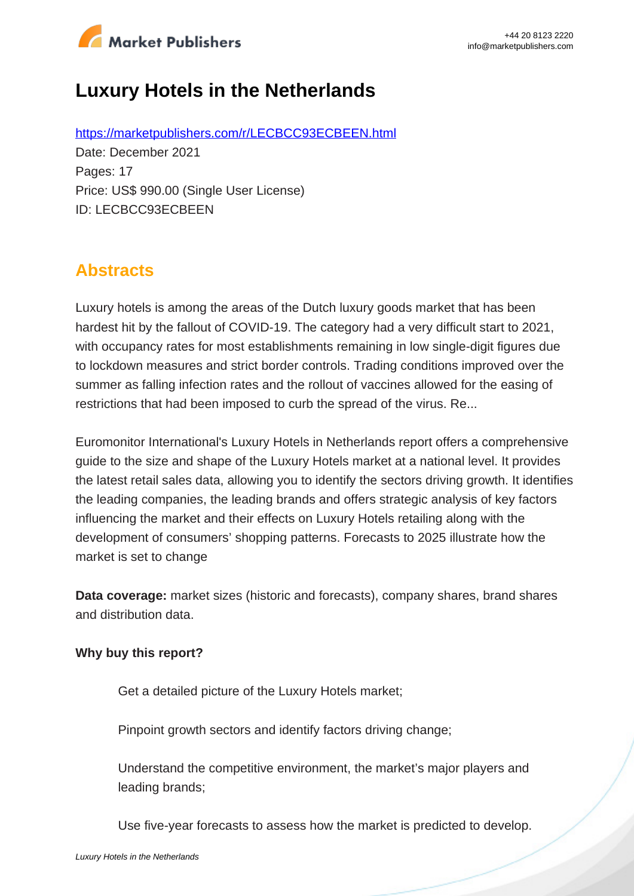

# **Luxury Hotels in the Netherlands**

https://marketpublishers.com/r/LECBCC93ECBEEN.html Date: December 2021 Pages: 17 Price: US\$ 990.00 (Single User License) ID: LECBCC93ECBEEN

## **Abstracts**

Luxury hotels is among the areas of the Dutch luxury goods market that has been hardest hit by the fallout of COVID-19. The category had a very difficult start to 2021, with occupancy rates for most establishments remaining in low single-digit figures due to lockdown measures and strict border controls. Trading conditions improved over the summer as falling infection rates and the rollout of vaccines allowed for the easing of restrictions that had been imposed to curb the spread of the virus. Re...

Euromonitor International's Luxury Hotels in Netherlands report offers a comprehensive guide to the size and shape of the Luxury Hotels market at a national level. It provides the latest retail sales data, allowing you to identify the sectors driving growth. It identifies the leading companies, the leading brands and offers strategic analysis of key factors influencing the market and their effects on Luxury Hotels retailing along with the development of consumers' shopping patterns. Forecasts to 2025 illustrate how the market is set to change

**Data coverage:** market sizes (historic and forecasts), company shares, brand shares and distribution data.

#### **Why buy this report?**

Get a detailed picture of the Luxury Hotels market;

Pinpoint growth sectors and identify factors driving change;

Understand the competitive environment, the market's major players and leading brands;

Use five-year forecasts to assess how the market is predicted to develop.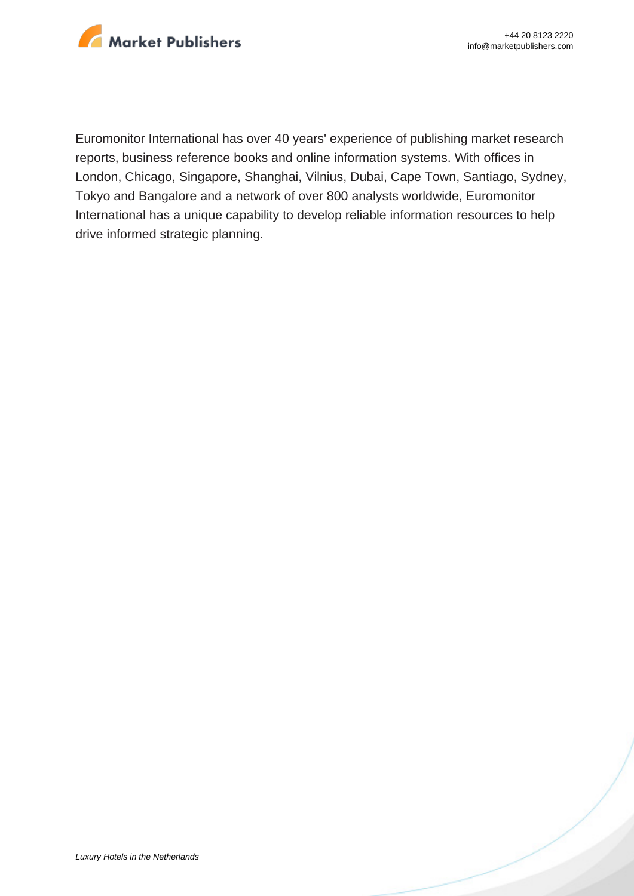

Euromonitor International has over 40 years' experience of publishing market research reports, business reference books and online information systems. With offices in London, Chicago, Singapore, Shanghai, Vilnius, Dubai, Cape Town, Santiago, Sydney, Tokyo and Bangalore and a network of over 800 analysts worldwide, Euromonitor International has a unique capability to develop reliable information resources to help drive informed strategic planning.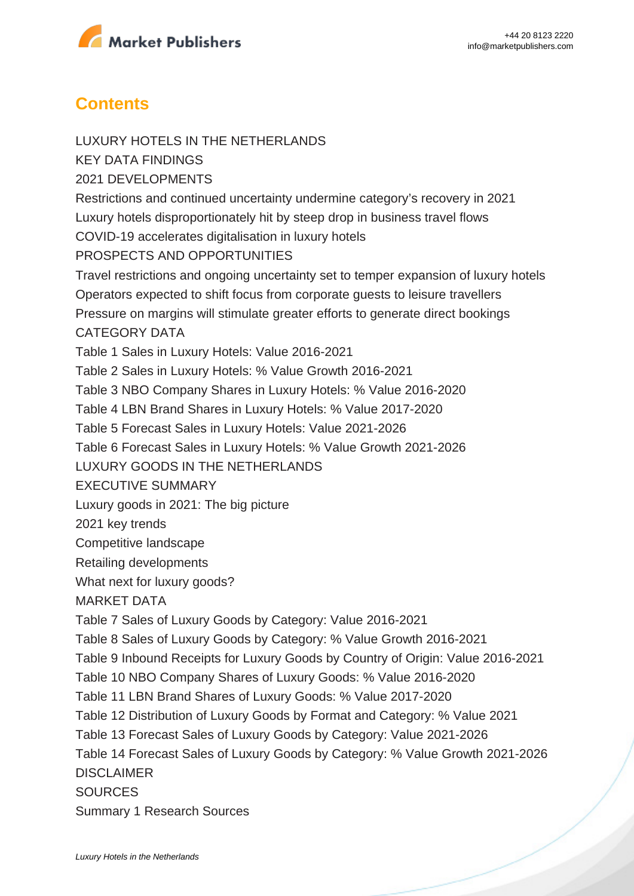

## **Contents**

LUXURY HOTELS IN THE NETHERLANDS KEY DATA FINDINGS 2021 DEVELOPMENTS Restrictions and continued uncertainty undermine category's recovery in 2021 Luxury hotels disproportionately hit by steep drop in business travel flows COVID-19 accelerates digitalisation in luxury hotels PROSPECTS AND OPPORTUNITIES Travel restrictions and ongoing uncertainty set to temper expansion of luxury hotels Operators expected to shift focus from corporate guests to leisure travellers Pressure on margins will stimulate greater efforts to generate direct bookings CATEGORY DATA Table 1 Sales in Luxury Hotels: Value 2016-2021 Table 2 Sales in Luxury Hotels: % Value Growth 2016-2021 Table 3 NBO Company Shares in Luxury Hotels: % Value 2016-2020 Table 4 LBN Brand Shares in Luxury Hotels: % Value 2017-2020 Table 5 Forecast Sales in Luxury Hotels: Value 2021-2026 Table 6 Forecast Sales in Luxury Hotels: % Value Growth 2021-2026 LUXURY GOODS IN THE NETHERLANDS EXECUTIVE SUMMARY Luxury goods in 2021: The big picture 2021 key trends Competitive landscape Retailing developments What next for luxury goods? MARKET DATA Table 7 Sales of Luxury Goods by Category: Value 2016-2021 Table 8 Sales of Luxury Goods by Category: % Value Growth 2016-2021 Table 9 Inbound Receipts for Luxury Goods by Country of Origin: Value 2016-2021 Table 10 NBO Company Shares of Luxury Goods: % Value 2016-2020 Table 11 LBN Brand Shares of Luxury Goods: % Value 2017-2020 Table 12 Distribution of Luxury Goods by Format and Category: % Value 2021 Table 13 Forecast Sales of Luxury Goods by Category: Value 2021-2026 Table 14 Forecast Sales of Luxury Goods by Category: % Value Growth 2021-2026 DISCLAIMER **SOURCES** Summary 1 Research Sources